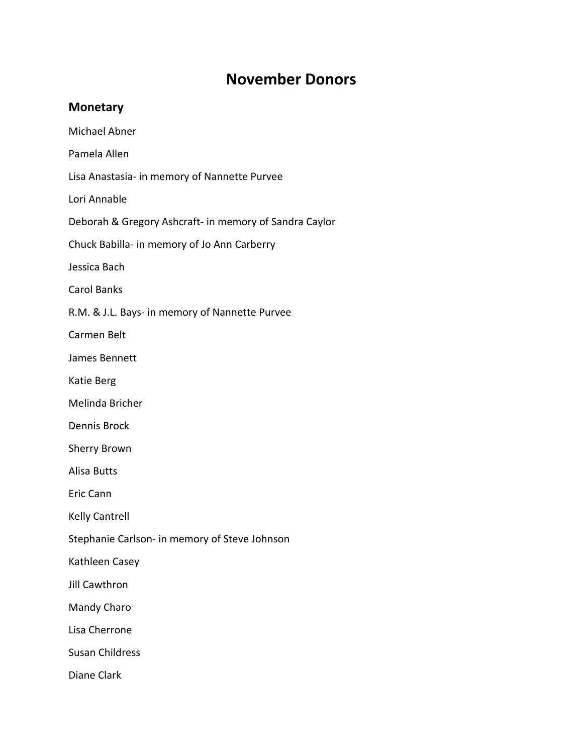## **November Donors**

## **Monetary**

Michael Abner

Pamela Allen

Lisa Anastasia- in memory of Nannette Purvee

Lori Annable

Deborah & Gregory Ashcraft- in memory of Sandra Caylor

Chuck Babilla- in memory of Jo Ann Carberry

Jessica Bach

Carol Banks

R.M. & J.L. Bays- in memory of Nannette Purvee

Carmen Belt

James Bennett

Katie Berg

Melinda Bricher

Dennis Brock

Sherry Brown

Alisa Butts

Eric Cann

Kelly Cantrell

Stephanie Carlson- in memory of Steve Johnson

Kathleen Casey

Jill Cawthron

Mandy Charo

Lisa Cherrone

Susan Childress

Diane Clark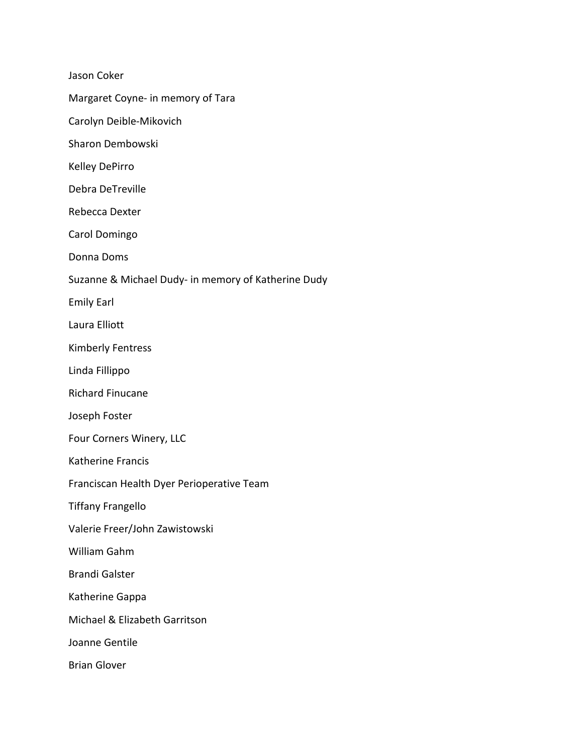Jason Coker

Margaret Coyne- in memory of Tara

Carolyn Deible-Mikovich

Sharon Dembowski

Kelley DePirro

Debra DeTreville

Rebecca Dexter

Carol Domingo

Donna Doms

Suzanne & Michael Dudy- in memory of Katherine Dudy

Emily Earl

Laura Elliott

Kimberly Fentress

Linda Fillippo

Richard Finucane

Joseph Foster

Four Corners Winery, LLC

Katherine Francis

Franciscan Health Dyer Perioperative Team

Tiffany Frangello

Valerie Freer/John Zawistowski

William Gahm

Brandi Galster

Katherine Gappa

Michael & Elizabeth Garritson

Joanne Gentile

Brian Glover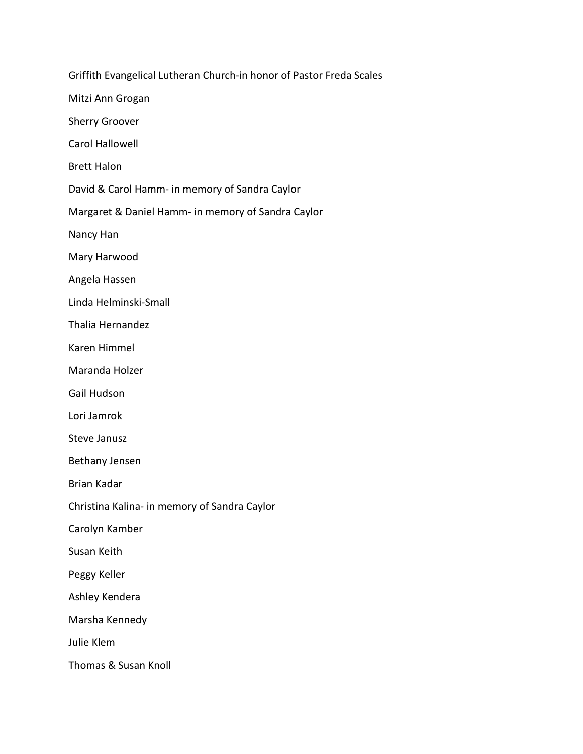Griffith Evangelical Lutheran Church-in honor of Pastor Freda Scales Mitzi Ann Grogan Sherry Groover Carol Hallowell Brett Halon David & Carol Hamm- in memory of Sandra Caylor Margaret & Daniel Hamm- in memory of Sandra Caylor Nancy Han Mary Harwood Angela Hassen Linda Helminski-Small Thalia Hernandez Karen Himmel Maranda Holzer Gail Hudson Lori Jamrok Steve Janusz Bethany Jensen Brian Kadar Christina Kalina- in memory of Sandra Caylor Carolyn Kamber Susan Keith Peggy Keller Ashley Kendera Marsha Kennedy Julie Klem Thomas & Susan Knoll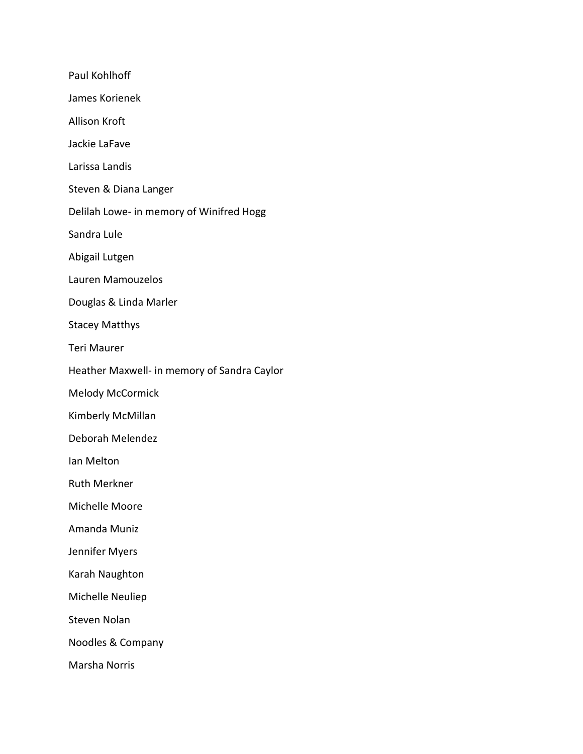Paul Kohlhoff James Korienek Allison Kroft Jackie LaFave Larissa Landis Steven & Diana Langer Delilah Lowe- in memory of Winifred Hogg Sandra Lule Abigail Lutgen Lauren Mamouzelos Douglas & Linda Marler Stacey Matthys Teri Maurer Heather Maxwell- in memory of Sandra Caylor Melody McCormick Kimberly McMillan Deborah Melendez Ian Melton Ruth Merkner Michelle Moore Amanda Muniz Jennifer Myers Karah Naughton Michelle Neuliep Steven Nolan Noodles & Company Marsha Norris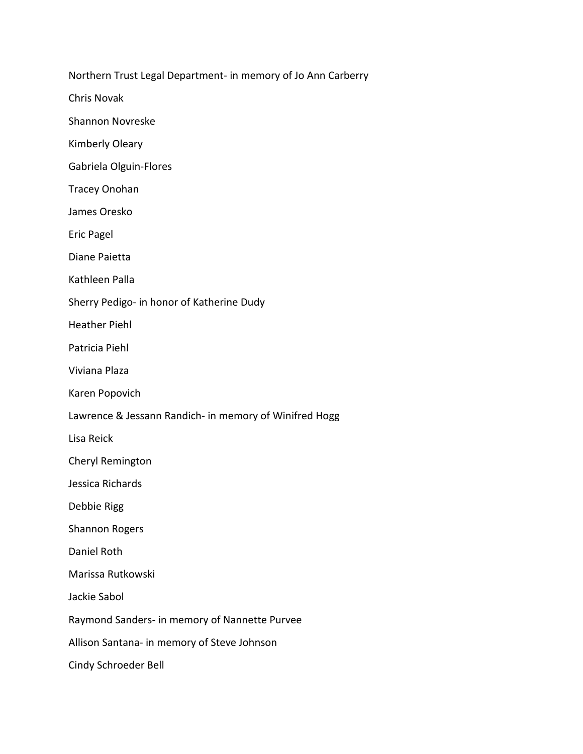Northern Trust Legal Department- in memory of Jo Ann Carberry

Chris Novak

Shannon Novreske

Kimberly Oleary

Gabriela Olguin-Flores

Tracey Onohan

James Oresko

Eric Pagel

Diane Paietta

Kathleen Palla

Sherry Pedigo- in honor of Katherine Dudy

Heather Piehl

Patricia Piehl

Viviana Plaza

Karen Popovich

Lawrence & Jessann Randich- in memory of Winifred Hogg

Lisa Reick

Cheryl Remington

Jessica Richards

Debbie Rigg

Shannon Rogers

Daniel Roth

Marissa Rutkowski

Jackie Sabol

Raymond Sanders- in memory of Nannette Purvee

Allison Santana- in memory of Steve Johnson

Cindy Schroeder Bell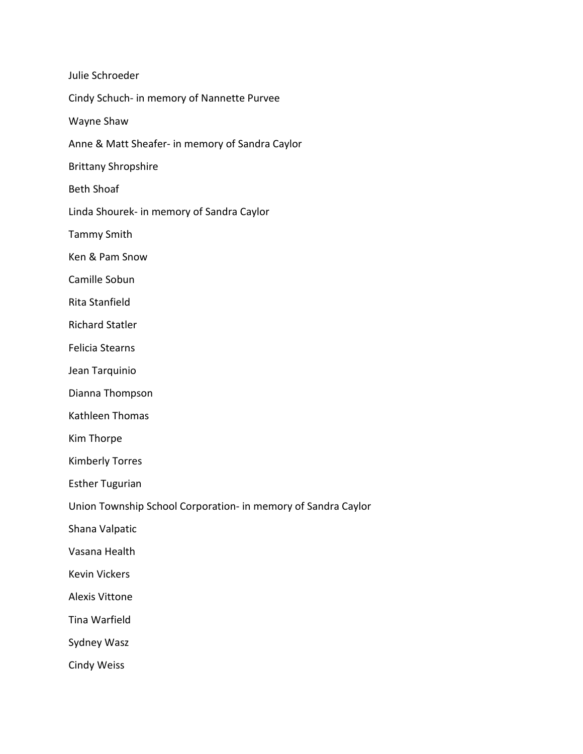| Julie Schroeder                                               |
|---------------------------------------------------------------|
| Cindy Schuch- in memory of Nannette Purvee                    |
| Wayne Shaw                                                    |
| Anne & Matt Sheafer- in memory of Sandra Caylor               |
| <b>Brittany Shropshire</b>                                    |
| <b>Beth Shoaf</b>                                             |
| Linda Shourek- in memory of Sandra Caylor                     |
| <b>Tammy Smith</b>                                            |
| Ken & Pam Snow                                                |
| Camille Sobun                                                 |
| Rita Stanfield                                                |
| <b>Richard Statler</b>                                        |
| <b>Felicia Stearns</b>                                        |
| Jean Tarquinio                                                |
| Dianna Thompson                                               |
| Kathleen Thomas                                               |
| Kim Thorpe                                                    |
| <b>Kimberly Torres</b>                                        |
| <b>Esther Tugurian</b>                                        |
| Union Township School Corporation- in memory of Sandra Caylor |
| Shana Valpatic                                                |
| Vasana Health                                                 |
| <b>Kevin Vickers</b>                                          |
| <b>Alexis Vittone</b>                                         |
| Tina Warfield                                                 |
| Sydney Wasz                                                   |
| <b>Cindy Weiss</b>                                            |
|                                                               |